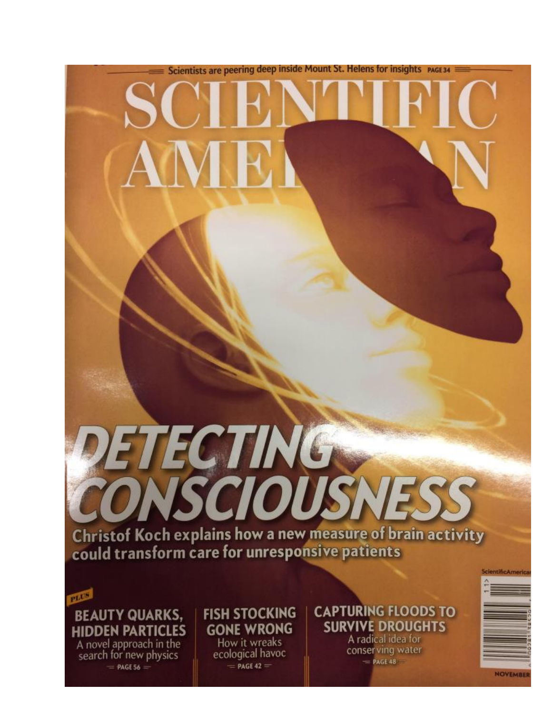

 $=$  PAGE 56  $=$ 

# ecological havoc

 $=$  PAGE 42  $=$ 

 $=$  PAGE 48  $=$ 

**NOVEMBER**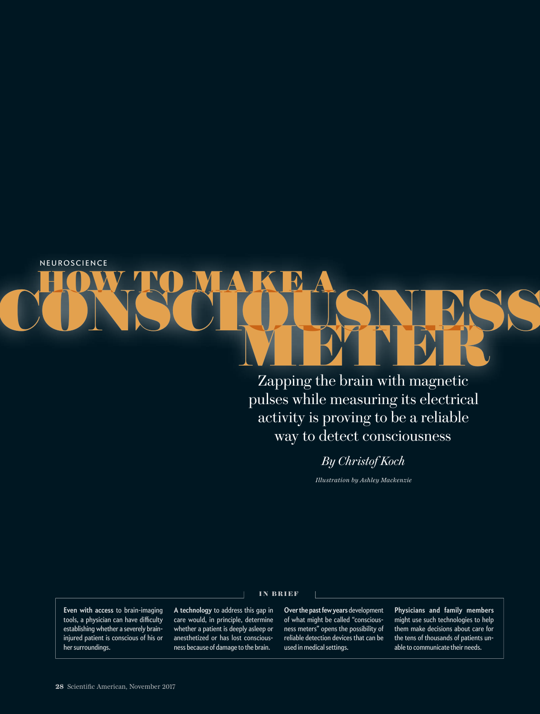

Zapping the brain with magnetic pulses while measuring its electrical activity is proving to be a reliable way to detect consciousness

### *By Christof Koch*

*Illustration by Ashley Mackenzie*

**Even with access** to brain-imaging tools, a physician can have difficulty establishing whether a severely braininjured patient is conscious of his or her surroundings.

**A technology** to address this gap in care would, in principle, determine whether a patient is deeply asleep or anesthetized or has lost consciousness because of damage to the brain.

**IN BRIEF**

**Over the past few years** development of what might be called "consciousness meters" opens the possibility of reliable detection devices that can be used in medical settings.

**Physicians and family members**  might use such technologies to help them make decisions about care for the tens of thousands of patients unable to communicate their needs.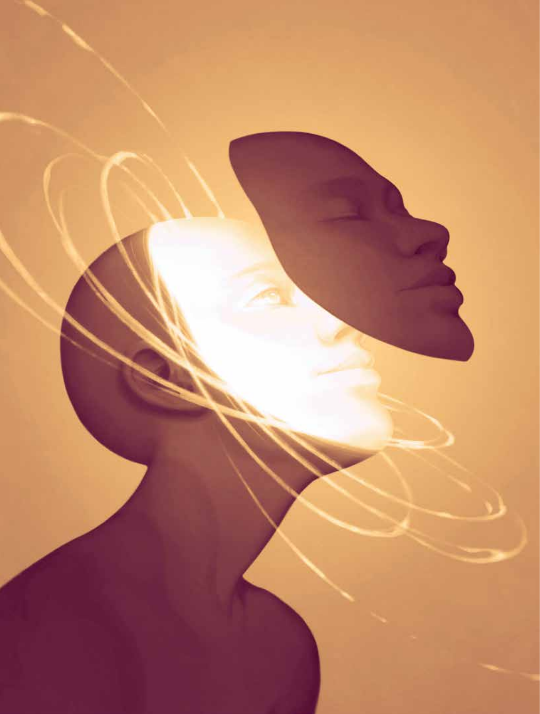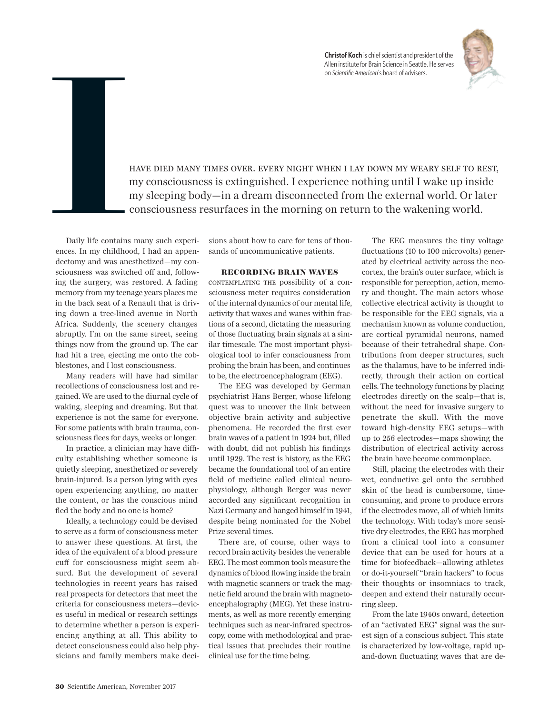**Christof Koch** is chief scientist and president of the Allen institute for Brain Science in Seattle. He serves on *Scientific American*'s board of advisers.



**Christof Kechis chief Schrist and pesident of the Allen issue for Schrist and pesident of the Schrist Many times over.**<br>
IHAVE DIED MANY TIMES OVER. EVERY NIGHT WHEN I LAY DOWN MY WEARY SELF TO REST,<br>
IMME DIED MANY TIMES my consciousness is extinguished. I experience nothing until I wake up inside my sleeping body—in a dream disconnected from the external world. Or later consciousness resurfaces in the morning on return to the wakening world.

Daily life contains many such experiences. In my childhood, I had an appendectomy and was anesthetized—my consciousness was switched off and, following the surgery, was restored. A fading memory from my teenage years places me in the back seat of a Renault that is driving down a tree-lined avenue in North Africa. Suddenly, the scenery changes abruptly. I'm on the same street, seeing things now from the ground up. The car had hit a tree, ejecting me onto the cobblestones, and I lost consciousness.

Many readers will have had similar recollections of consciousness lost and regained. We are used to the diurnal cycle of waking, sleeping and dreaming. But that experience is not the same for everyone. For some patients with brain trauma, consciousness flees for days, weeks or longer.

In practice, a clinician may have difficulty establishing whether someone is quietly sleeping, anesthetized or severely brain-injured. Is a person lying with eyes open experiencing anything, no matter the content, or has the conscious mind fled the body and no one is home?

Ideally, a technology could be devised to serve as a form of consciousness meter to answer these questions. At first, the idea of the equivalent of a blood pressure cuff for consciousness might seem absurd. But the development of several technologies in recent years has raised real prospects for detectors that meet the criteria for consciousness meters—devices useful in medical or research settings to determine whether a person is experiencing anything at all. This ability to detect consciousness could also help physicians and family members make decisions about how to care for tens of thousands of uncommunicative patients.

#### **RECORDING BRAIN WAVES**

Contemplating the possibility of a consciousness meter requires consideration of the internal dynamics of our mental life, activity that waxes and wanes within fractions of a second, dictating the measuring of those fluctuating brain signals at a similar timescale. The most important physiological tool to infer consciousness from probing the brain has been, and continues to be, the electroencephalogram (EEG).

The EEG was developed by German psychiatrist Hans Berger, whose lifelong quest was to uncover the link between objective brain activity and subjective phenomena. He recorded the first ever brain waves of a patient in 1924 but, filled with doubt, did not publish his findings until 1929. The rest is history, as the EEG became the foundational tool of an entire field of medicine called clinical neurophysiology, although Berger was never accorded any significant recognition in Nazi Germany and hanged himself in 1941, despite being nominated for the Nobel Prize several times.

There are, of course, other ways to record brain activity besides the venerable EEG. The most common tools measure the dynamics of blood flowing inside the brain with magnetic scanners or track the magnetic field around the brain with magnetoencephalography (MEG). Yet these instruments, as well as more recently emerging techniques such as near-infrared spectroscopy, come with methodological and practical issues that precludes their routine clinical use for the time being.

The EEG measures the tiny voltage fluctuations (10 to 100 microvolts) generated by electrical activity across the neocortex, the brain's outer surface, which is responsible for perception, action, memory and thought. The main actors whose collective electrical activity is thought to be responsible for the EEG signals, via a mechanism known as volume conduction, are cortical pyramidal neurons, named because of their tetrahedral shape. Contributions from deeper structures, such as the thalamus, have to be inferred indirectly, through their action on cortical cells. The technology functions by placing electrodes directly on the scalp—that is, without the need for invasive surgery to penetrate the skull. With the move toward high-density EEG setups—with up to 256 electrodes—maps showing the distribution of electrical activity across the brain have become commonplace.

Still, placing the electrodes with their wet, conductive gel onto the scrubbed skin of the head is cumbersome, timeconsuming, and prone to produce errors if the electrodes move, all of which limits the technology. With today's more sensitive dry electrodes, the EEG has morphed from a clinical tool into a consumer device that can be used for hours at a time for biofeedback—allowing athletes or do-it-yourself "brain hackers" to focus their thoughts or insomniacs to track, deepen and extend their naturally occurring sleep.

From the late 1940s onward, detection of an "activated EEG" signal was the surest sign of a conscious subject. This state is characterized by low-voltage, rapid upand-down fluctuating waves that are de-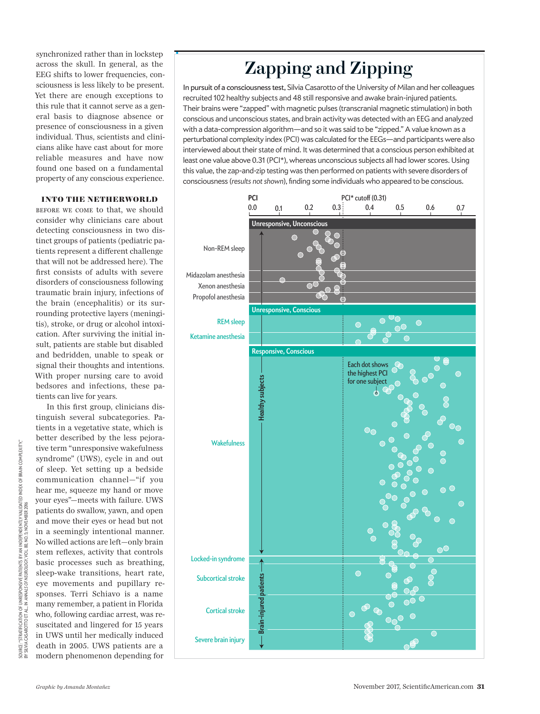synchronized rather than in lockstep across the skull. In general, as the EEG shifts to lower frequencies, consciousness is less likely to be present. Yet there are enough exceptions to this rule that it cannot serve as a general basis to diagnose absence or presence of consciousness in a given individual. Thus, scientists and clinicians alike have cast about for more reliable measures and have now found one based on a fundamental property of any conscious experience.

#### **INTO THE NETHERWORLD**

Before we come to that, we should consider why clinicians care about detecting consciousness in two distinct groups of patients (pediatric patients represent a different challenge that will not be addressed here). The first consists of adults with severe disorders of consciousness following traumatic brain injury, infections of the brain (encephalitis) or its surrounding protective layers (meningitis), stroke, or drug or alcohol intoxication. After surviving the initial insult, patients are stable but disabled and bedridden, unable to speak or signal their thoughts and intentions. With proper nursing care to avoid bedsores and infections, these patients can live for years.

In this first group, clinicians distinguish several subcategories. Patients in a vegetative state, which is better described by the less pejorative term "unresponsive wakefulness syndrome" (UWS), cycle in and out of sleep. Yet setting up a bedside communication channel—"if you hear me, squeeze my hand or move your eyes"—meets with failure. UWS patients do swallow, yawn, and open and move their eyes or head but not in a seemingly intentional manner. No willed actions are left—only brain stem reflexes, activity that controls basic processes such as breathing, sleep-wake transitions, heart rate, eye movements and pupillary responses. Terri Schiavo is a name many remember, a patient in Florida who, following cardiac arrest, was resuscitated and lingered for 15 years in UWS until her medically induced death in 2005. UWS patients are a modern phenomenon depending for

# Zapping and Zipping

In pursuit of a consciousness test, Silvia Casarotto of the University of Milan and her colleagues recruited 102 healthy subjects and 48 still responsive and awake brain-injured patients. Their brains were "zapped" with magnetic pulses (transcranial magnetic stimulation) in both conscious and unconscious states, and brain activity was detected with an EEG and analyzed with a data-compression algorithm—and so it was said to be "zipped." A value known as a perturbational complexity index (PCI) was calculated for the EEGs—and participants were also interviewed about their state of mind. It was determined that a conscious person exhibited at least one value above 0.31 (PCI\*), whereas unconscious subjects all had lower scores. Using this value, the zap-and-zip testing was then performed on patients with severe disorders of consciousness (*results not shown*), finding some individuals who appeared to be conscious.

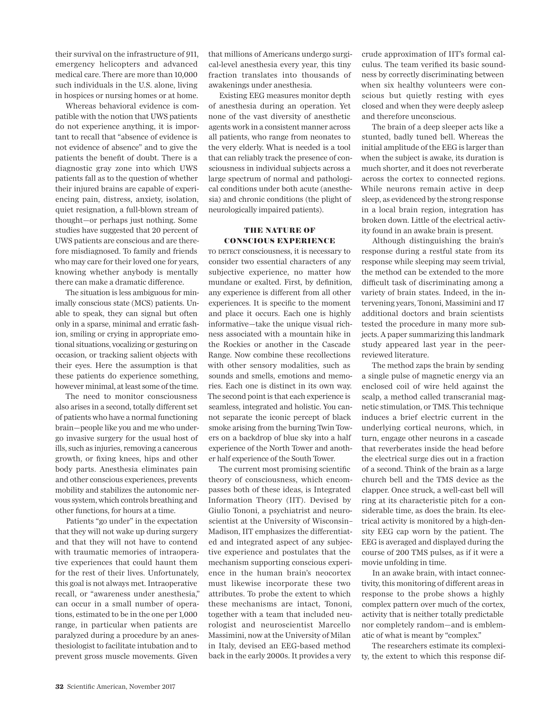their survival on the infrastructure of 911, emergency helicopters and advanced medical care. There are more than 10,000 such individuals in the U.S. alone, living in hospices or nursing homes or at home.

Whereas behavioral evidence is compatible with the notion that UWS patients do not experience anything, it is important to recall that "absence of evidence is not evidence of absence" and to give the patients the benefit of doubt. There is a diagnostic gray zone into which UWS patients fall as to the question of whether their injured brains are capable of experiencing pain, distress, anxiety, isolation, quiet resignation, a full-blown stream of thought—or perhaps just nothing. Some studies have suggested that 20 percent of UWS patients are conscious and are therefore misdiagnosed. To family and friends who may care for their loved one for years, knowing whether anybody is mentally there can make a dramatic difference.

The situation is less ambiguous for minimally conscious state (MCS) patients. Unable to speak, they can signal but often only in a sparse, minimal and erratic fashion, smiling or crying in appropriate emotional situations, vocalizing or gesturing on occasion, or tracking salient objects with their eyes. Here the assumption is that these patients do experience something, however minimal, at least some of the time.

The need to monitor consciousness also arises in a second, totally different set of patients who have a normal functioning brain—people like you and me who undergo invasive surgery for the usual host of ills, such as injuries, removing a cancerous growth, or fixing knees, hips and other body parts. Anesthesia eliminates pain and other conscious experiences, prevents mobility and stabilizes the autonomic nervous system, which controls breathing and other functions, for hours at a time.

Patients "go under" in the expectation that they will not wake up during surgery and that they will not have to contend with traumatic memories of intraoperative experiences that could haunt them for the rest of their lives. Unfortunately, this goal is not always met. Intraoperative recall, or "awareness under anesthesia," can occur in a small number of operations, estimated to be in the one per 1,000 range, in particular when patients are paralyzed during a procedure by an anesthesiologist to facilitate intubation and to prevent gross muscle movements. Given

that millions of Americans undergo surgical-level anesthesia every year, this tiny fraction translates into thousands of awakenings under anesthesia.

Existing EEG measures monitor depth of anesthesia during an operation. Yet none of the vast diversity of anesthetic agents work in a consistent manner across all patients, who range from neonates to the very elderly. What is needed is a tool that can reliably track the presence of consciousness in individual subjects across a large spectrum of normal and pathological conditions under both acute (anesthesia) and chronic conditions (the plight of neurologically impaired patients).

#### **THE NATURE OF CONSCIOUS EXPERIENCE**

TO DETECT consciousness, it is necessary to consider two essential characters of any subjective experience, no matter how mundane or exalted. First, by definition, any experience is different from all other experiences. It is specific to the moment and place it occurs. Each one is highly informative—take the unique visual richness associated with a mountain hike in the Rockies or another in the Cascade Range. Now combine these recollections with other sensory modalities, such as sounds and smells, emotions and memories. Each one is distinct in its own way. The second point is that each experience is seamless, integrated and holistic. You cannot separate the iconic percept of black smoke arising from the burning Twin Towers on a backdrop of blue sky into a half experience of the North Tower and another half experience of the South Tower.

The current most promising scientific theory of consciousness, which encompasses both of these ideas, is Integrated Information Theory (IIT). Devised by Giulio Tononi, a psychiatrist and neuroscientist at the University of Wisconsin– Madison, IIT emphasizes the differentiated and integrated aspect of any subjective experience and postulates that the mechanism supporting conscious experience in the human brain's neocortex must likewise incorporate these two attributes. To probe the extent to which these mechanisms are intact, Tononi, together with a team that included neurologist and neuroscientist Marcello Massimini, now at the University of Milan in Italy, devised an EEG-based method back in the early 2000s. It provides a very

crude approximation of IIT's formal calculus. The team verified its basic soundness by correctly discriminating between when six healthy volunteers were conscious but quietly resting with eyes closed and when they were deeply asleep and therefore unconscious.

The brain of a deep sleeper acts like a stunted, badly tuned bell. Whereas the initial amplitude of the EEG is larger than when the subject is awake, its duration is much shorter, and it does not reverberate across the cortex to connected regions. While neurons remain active in deep sleep, as evidenced by the strong response in a local brain region, integration has broken down. Little of the electrical activity found in an awake brain is present.

Although distinguishing the brain's response during a restful state from its response while sleeping may seem trivial, the method can be extended to the more difficult task of discriminating among a variety of brain states. Indeed, in the intervening years, Tononi, Massimini and 17 additional doctors and brain scientists tested the procedure in many more subjects. A paper summarizing this landmark study appeared last year in the peerreviewed literature.

The method zaps the brain by sending a single pulse of magnetic energy via an enclosed coil of wire held against the scalp, a method called transcranial magnetic stimulation, or TMS. This technique induces a brief electric current in the underlying cortical neurons, which, in turn, engage other neurons in a cascade that reverberates inside the head before the electrical surge dies out in a fraction of a second. Think of the brain as a large church bell and the TMS device as the clapper. Once struck, a well-cast bell will ring at its characteristic pitch for a considerable time, as does the brain. Its electrical activity is monitored by a high-density EEG cap worn by the patient. The EEG is averaged and displayed during the course of 200 TMS pulses, as if it were a movie unfolding in time.

In an awake brain, with intact connectivity, this monitoring of different areas in response to the probe shows a highly complex pattern over much of the cortex, activity that is neither totally predictable nor completely random—and is emblematic of what is meant by "complex."

The researchers estimate its complexity, the extent to which this response dif-